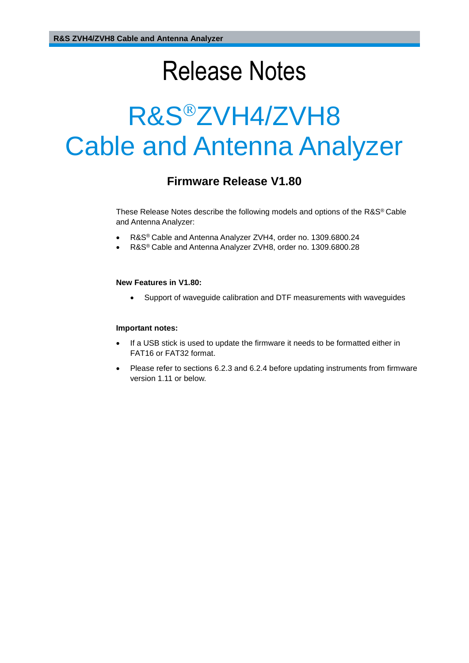# Release Notes

# R&S<sup>®</sup>ZVH4/ZVH8 Cable and Antenna Analyzer

### **Firmware Release V1.80**

These Release Notes describe the following models and options of the R&S® Cable and Antenna Analyzer:

- R&S® Cable and Antenna Analyzer ZVH4, order no. 1309.6800.24
- R&S® Cable and Antenna Analyzer ZVH8, order no. 1309.6800.28

#### **New Features in V1.80:**

Support of waveguide calibration and DTF measurements with waveguides

#### **Important notes:**

- If a USB stick is used to update the firmware it needs to be formatted either in FAT16 or FAT32 format.
- Please refer to sections 6.2.3 and 6.2.4 before updating instruments from firmware version 1.11 or below.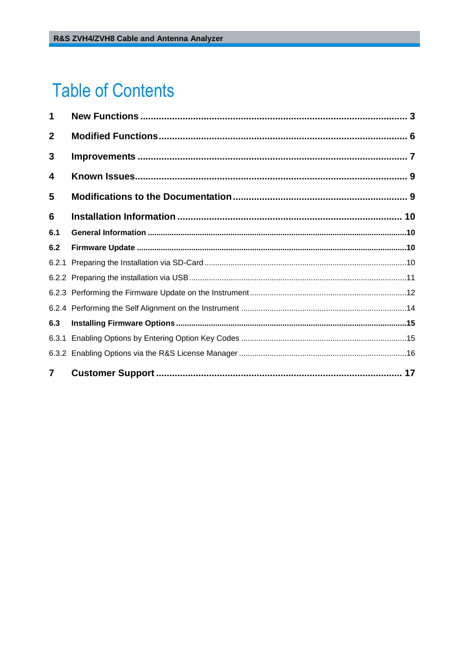# **Table of Contents**

| 1              |  |
|----------------|--|
| $\mathbf{2}$   |  |
| 3              |  |
| 4              |  |
| 5              |  |
| 6              |  |
| 6.1            |  |
| 6.2            |  |
| 6.2.1          |  |
|                |  |
|                |  |
|                |  |
| 6.3            |  |
|                |  |
|                |  |
| $\overline{7}$ |  |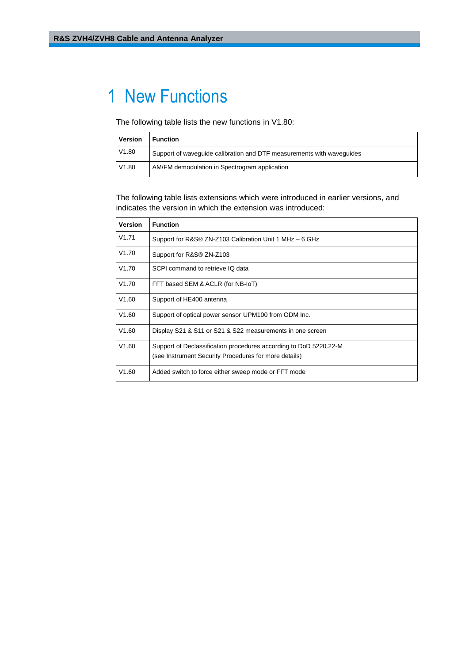### <span id="page-2-0"></span>1 New Functions

The following table lists the new functions in V1.80:

| <b>Version</b> | <b>Function</b>                                                       |
|----------------|-----------------------------------------------------------------------|
| V1.80          | Support of wavequide calibration and DTF measurements with wavequides |
| V1.80          | AM/FM demodulation in Spectrogram application                         |

The following table lists extensions which were introduced in earlier versions, and indicates the version in which the extension was introduced:

| Version | <b>Function</b>                                                                                                            |
|---------|----------------------------------------------------------------------------------------------------------------------------|
| V1.71   | Support for R&S® ZN-Z103 Calibration Unit 1 MHz - 6 GHz                                                                    |
| V1.70   | Support for R&S® ZN-Z103                                                                                                   |
| V1.70   | SCPI command to retrieve IQ data                                                                                           |
| V1.70   | FFT based SEM & ACLR (for NB-IoT)                                                                                          |
| V1.60   | Support of HE400 antenna                                                                                                   |
| V1.60   | Support of optical power sensor UPM100 from ODM Inc.                                                                       |
| V1.60   | Display S21 & S11 or S21 & S22 measurements in one screen                                                                  |
| V1.60   | Support of Declassification procedures according to DoD 5220.22-M<br>(see Instrument Security Procedures for more details) |
| V1.60   | Added switch to force either sweep mode or FFT mode                                                                        |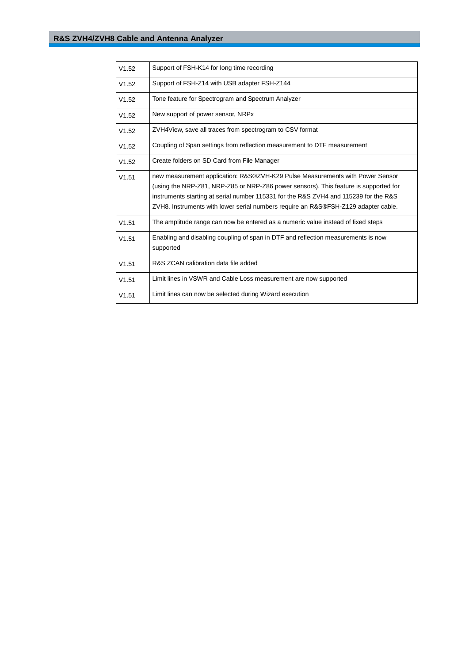| V1.52 | Support of FSH-K14 for long time recording                                                                                                                                                                                                                                                                                                          |  |  |  |  |
|-------|-----------------------------------------------------------------------------------------------------------------------------------------------------------------------------------------------------------------------------------------------------------------------------------------------------------------------------------------------------|--|--|--|--|
| V1.52 | Support of FSH-Z14 with USB adapter FSH-Z144                                                                                                                                                                                                                                                                                                        |  |  |  |  |
| V1.52 | Tone feature for Spectrogram and Spectrum Analyzer                                                                                                                                                                                                                                                                                                  |  |  |  |  |
| V1.52 | New support of power sensor, NRPx                                                                                                                                                                                                                                                                                                                   |  |  |  |  |
| V1.52 | ZVH4View, save all traces from spectrogram to CSV format                                                                                                                                                                                                                                                                                            |  |  |  |  |
| V1.52 | Coupling of Span settings from reflection measurement to DTF measurement                                                                                                                                                                                                                                                                            |  |  |  |  |
| V1.52 | Create folders on SD Card from File Manager                                                                                                                                                                                                                                                                                                         |  |  |  |  |
| V1.51 | new measurement application: R&S®ZVH-K29 Pulse Measurements with Power Sensor<br>(using the NRP-Z81, NRP-Z85 or NRP-Z86 power sensors). This feature is supported for<br>instruments starting at serial number 115331 for the R&S ZVH4 and 115239 for the R&S<br>ZVH8. Instruments with lower serial numbers require an R&S®FSH-Z129 adapter cable. |  |  |  |  |
| V1.51 | The amplitude range can now be entered as a numeric value instead of fixed steps                                                                                                                                                                                                                                                                    |  |  |  |  |
| V1.51 | Enabling and disabling coupling of span in DTF and reflection measurements is now<br>supported                                                                                                                                                                                                                                                      |  |  |  |  |
| V1.51 | R&S ZCAN calibration data file added                                                                                                                                                                                                                                                                                                                |  |  |  |  |
| V1.51 | Limit lines in VSWR and Cable Loss measurement are now supported                                                                                                                                                                                                                                                                                    |  |  |  |  |
| V1.51 | Limit lines can now be selected during Wizard execution                                                                                                                                                                                                                                                                                             |  |  |  |  |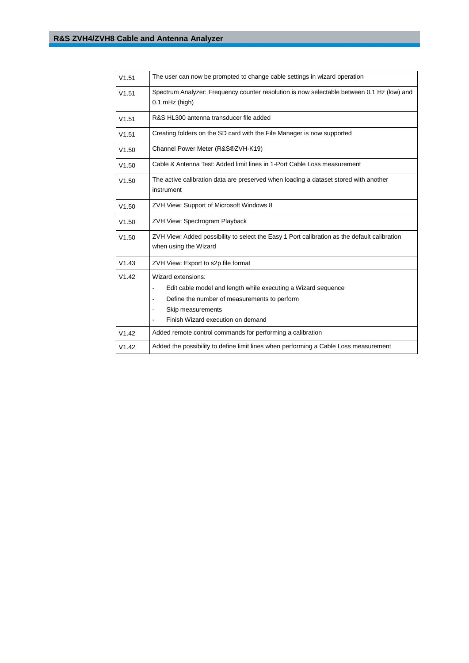| V1.51 | The user can now be prompted to change cable settings in wizard operation                                                                                                                                             |  |  |  |  |  |
|-------|-----------------------------------------------------------------------------------------------------------------------------------------------------------------------------------------------------------------------|--|--|--|--|--|
| V1.51 | Spectrum Analyzer: Frequency counter resolution is now selectable between 0.1 Hz (low) and<br>$0.1$ mHz (high)                                                                                                        |  |  |  |  |  |
| V1.51 | R&S HL300 antenna transducer file added                                                                                                                                                                               |  |  |  |  |  |
| V1.51 | Creating folders on the SD card with the File Manager is now supported                                                                                                                                                |  |  |  |  |  |
| V1.50 | Channel Power Meter (R&S®ZVH-K19)                                                                                                                                                                                     |  |  |  |  |  |
| V1.50 | Cable & Antenna Test: Added limit lines in 1-Port Cable Loss measurement                                                                                                                                              |  |  |  |  |  |
| V1.50 | The active calibration data are preserved when loading a dataset stored with another<br>instrument                                                                                                                    |  |  |  |  |  |
| V1.50 | ZVH View: Support of Microsoft Windows 8                                                                                                                                                                              |  |  |  |  |  |
| V1.50 | ZVH View: Spectrogram Playback                                                                                                                                                                                        |  |  |  |  |  |
| V1.50 | ZVH View: Added possibility to select the Easy 1 Port calibration as the default calibration<br>when using the Wizard                                                                                                 |  |  |  |  |  |
| V1.43 | ZVH View: Export to s2p file format                                                                                                                                                                                   |  |  |  |  |  |
| V1.42 | Wizard extensions:<br>Edit cable model and length while executing a Wizard sequence<br>ä,<br>Define the number of measurements to perform<br>$\overline{a}$<br>Skip measurements<br>Finish Wizard execution on demand |  |  |  |  |  |
| V1.42 | Added remote control commands for performing a calibration                                                                                                                                                            |  |  |  |  |  |
| V1.42 | Added the possibility to define limit lines when performing a Cable Loss measurement                                                                                                                                  |  |  |  |  |  |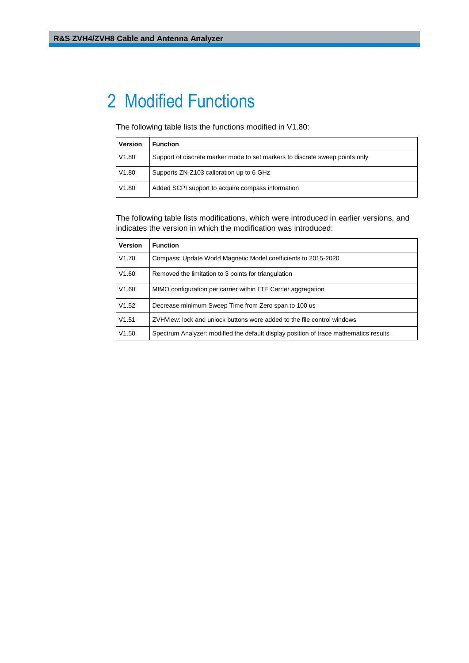## <span id="page-5-0"></span>2 Modified Functions

The following table lists the functions modified in V1.80:

| <b>Version</b> | <b>Function</b>                                                              |
|----------------|------------------------------------------------------------------------------|
| V1.80          | Support of discrete marker mode to set markers to discrete sweep points only |
| V1.80          | Supports ZN-Z103 calibration up to 6 GHz                                     |
| V1.80          | Added SCPI support to acquire compass information                            |

The following table lists modifications, which were introduced in earlier versions, and indicates the version in which the modification was introduced:

| <b>Version</b> | <b>Function</b>                                                                       |
|----------------|---------------------------------------------------------------------------------------|
| V1.70          | Compass: Update World Magnetic Model coefficients to 2015-2020                        |
| V1.60          | Removed the limitation to 3 points for triangulation                                  |
| V1.60          | MIMO configuration per carrier within LTE Carrier aggregation                         |
| V1.52          | Decrease minimum Sweep Time from Zero span to 100 us                                  |
| V1.51          | ZVHView: lock and unlock buttons were added to the file control windows               |
| V1.50          | Spectrum Analyzer: modified the default display position of trace mathematics results |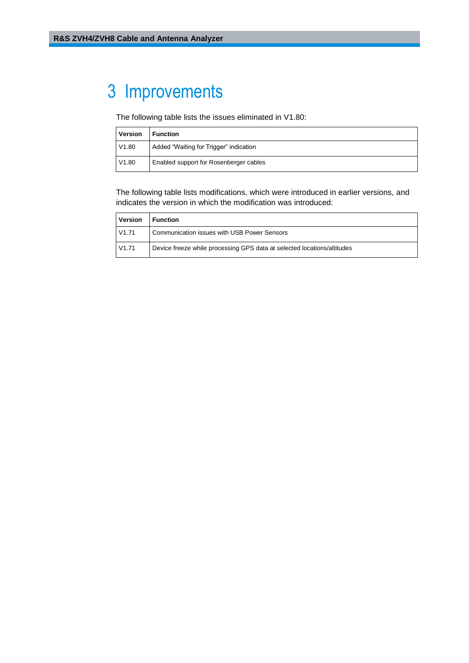# <span id="page-6-0"></span>3 Improvements

The following table lists the issues eliminated in V1.80:

| <b>Version</b> | <b>Function</b>                        |
|----------------|----------------------------------------|
| V1.80          | Added "Waiting for Trigger" indication |
| V1.80          | Enabled support for Rosenberger cables |

The following table lists modifications, which were introduced in earlier versions, and indicates the version in which the modification was introduced:

| <b>Version</b> | Function                                                                |
|----------------|-------------------------------------------------------------------------|
| V1.71          | Communication issues with USB Power Sensors                             |
| V1.71          | Device freeze while processing GPS data at selected locations/altitudes |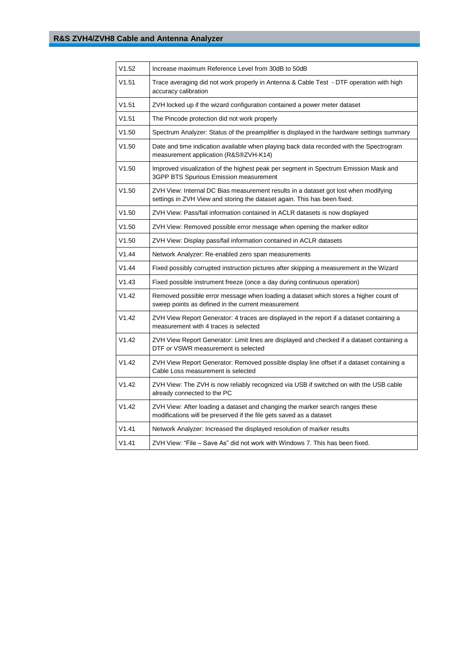| V1.52 | Increase maximum Reference Level from 30dB to 50dB                                                                                                              |  |  |  |  |
|-------|-----------------------------------------------------------------------------------------------------------------------------------------------------------------|--|--|--|--|
| V1.51 | Trace averaging did not work properly in Antenna & Cable Test - DTF operation with high<br>accuracy calibration                                                 |  |  |  |  |
| V1.51 | ZVH locked up if the wizard configuration contained a power meter dataset                                                                                       |  |  |  |  |
| V1.51 | The Pincode protection did not work properly                                                                                                                    |  |  |  |  |
| V1.50 | Spectrum Analyzer: Status of the preamplifier is displayed in the hardware settings summary                                                                     |  |  |  |  |
| V1.50 | Date and time indication available when playing back data recorded with the Spectrogram<br>measurement application (R&S®ZVH-K14)                                |  |  |  |  |
| V1.50 | Improved visualization of the highest peak per segment in Spectrum Emission Mask and<br>3GPP BTS Spurious Emission measurement                                  |  |  |  |  |
| V1.50 | ZVH View: Internal DC Bias measurement results in a dataset got lost when modifying<br>settings in ZVH View and storing the dataset again. This has been fixed. |  |  |  |  |
| V1.50 | ZVH View: Pass/fail information contained in ACLR datasets is now displayed                                                                                     |  |  |  |  |
| V1.50 | ZVH View: Removed possible error message when opening the marker editor                                                                                         |  |  |  |  |
| V1.50 | ZVH View: Display pass/fail information contained in ACLR datasets                                                                                              |  |  |  |  |
| V1.44 | Network Analyzer: Re-enabled zero span measurements                                                                                                             |  |  |  |  |
| V1.44 | Fixed possibly corrupted instruction pictures after skipping a measurement in the Wizard                                                                        |  |  |  |  |
| V1.43 | Fixed possible instrument freeze (once a day during continuous operation)                                                                                       |  |  |  |  |
| V1.42 | Removed possible error message when loading a dataset which stores a higher count of<br>sweep points as defined in the current measurement                      |  |  |  |  |
| V1.42 | ZVH View Report Generator: 4 traces are displayed in the report if a dataset containing a<br>measurement with 4 traces is selected                              |  |  |  |  |
| V1.42 | ZVH View Report Generator: Limit lines are displayed and checked if a dataset containing a<br>DTF or VSWR measurement is selected                               |  |  |  |  |
| V1.42 | ZVH View Report Generator: Removed possible display line offset if a dataset containing a<br>Cable Loss measurement is selected                                 |  |  |  |  |
| V1.42 | ZVH View: The ZVH is now reliably recognized via USB if switched on with the USB cable<br>already connected to the PC                                           |  |  |  |  |
| V1.42 | ZVH View: After loading a dataset and changing the marker search ranges these<br>modifications will be preserved if the file gets saved as a dataset            |  |  |  |  |
| V1.41 | Network Analyzer: Increased the displayed resolution of marker results                                                                                          |  |  |  |  |
| V1.41 | ZVH View: "File - Save As" did not work with Windows 7. This has been fixed.                                                                                    |  |  |  |  |
|       |                                                                                                                                                                 |  |  |  |  |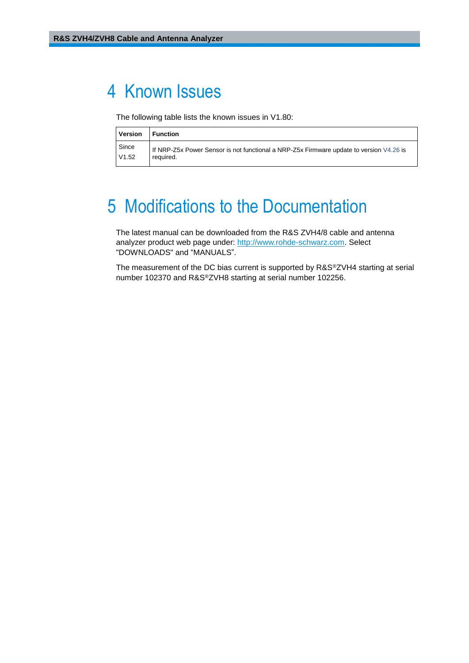### <span id="page-8-0"></span>4 Known Issues

The following table lists the known issues in V1.80:

| <b>Version</b> | l Function                                                                              |
|----------------|-----------------------------------------------------------------------------------------|
| Since          | If NRP-Z5x Power Sensor is not functional a NRP-Z5x Firmware update to version V4.26 is |
| V1.52          | required.                                                                               |

# <span id="page-8-1"></span>5 Modifications to the Documentation

The latest manual can be downloaded from the R&S ZVH4/8 cable and antenna analyzer product web page under: [http://www.rohde-schwarz.com.](http://www.rohde-schwarz.com/) Select "DOWNLOADS" and "MANUALS".

The measurement of the DC bias current is supported by R&S®ZVH4 starting at serial number 102370 and R&S®ZVH8 starting at serial number 102256.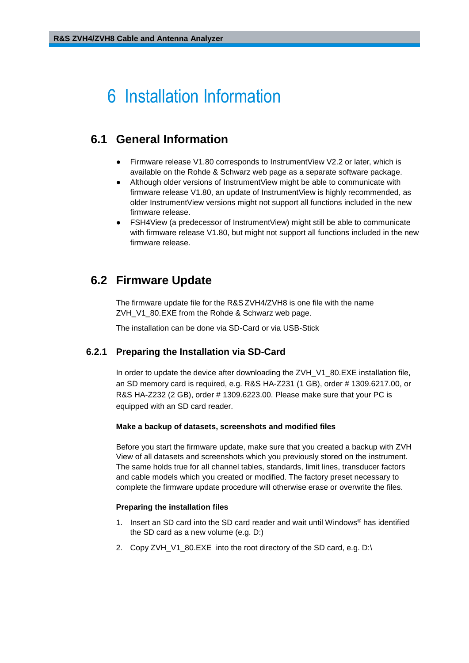# <span id="page-9-0"></span>6 Installation Information

### <span id="page-9-1"></span>**6.1 General Information**

- Firmware release V1.80 corresponds to InstrumentView V2.2 or later, which is available on the Rohde & Schwarz web page as a separate software package.
- Although older versions of InstrumentView might be able to communicate with firmware release V1.80, an update of InstrumentView is highly recommended, as older InstrumentView versions might not support all functions included in the new firmware release.
- FSH4View (a predecessor of InstrumentView) might still be able to communicate with firmware release V1.80, but might not support all functions included in the new firmware release.

### <span id="page-9-2"></span>**6.2 Firmware Update**

The firmware update file for the R&S ZVH4/ZVH8 is one file with the name ZVH\_V1\_80.EXE from the Rohde & Schwarz web page.

<span id="page-9-3"></span>The installation can be done via SD-Card or via USB-Stick

#### **6.2.1 Preparing the Installation via SD-Card**

In order to update the device after downloading the ZVH\_V1\_80.EXE installation file, an SD memory card is required, e.g. R&S HA-Z231 (1 GB), order # 1309.6217.00, or R&S HA-Z232 (2 GB), order # 1309.6223.00. Please make sure that your PC is equipped with an SD card reader.

#### **Make a backup of datasets, screenshots and modified files**

Before you start the firmware update, make sure that you created a backup with ZVH View of all datasets and screenshots which you previously stored on the instrument. The same holds true for all channel tables, standards, limit lines, transducer factors and cable models which you created or modified. The factory preset necessary to complete the firmware update procedure will otherwise erase or overwrite the files.

#### **Preparing the installation files**

- 1. Insert an SD card into the SD card reader and wait until Windows® has identified the SD card as a new volume (e.g. D:)
- 2. Copy ZVH\_V1\_80.EXE into the root directory of the SD card, e.g. D:\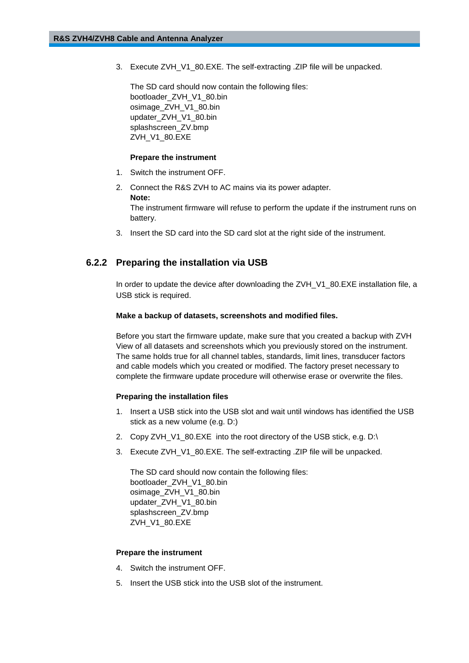3. Execute ZVH\_V1\_80.EXE. The self-extracting .ZIP file will be unpacked.

The SD card should now contain the following files: bootloader\_ZVH\_V1\_80.bin osimage\_ZVH\_V1\_80.bin updater\_ZVH\_V1\_80.bin splashscreen\_ZV.bmp ZVH\_V1\_80.EXE

#### **Prepare the instrument**

- 1. Switch the instrument OFF.
- 2. Connect the R&S ZVH to AC mains via its power adapter. **Note:** The instrument firmware will refuse to perform the update if the instrument runs on battery.
- <span id="page-10-0"></span>3. Insert the SD card into the SD card slot at the right side of the instrument.

#### **6.2.2 Preparing the installation via USB**

In order to update the device after downloading the ZVH\_V1\_80.EXE installation file, a USB stick is required.

#### **Make a backup of datasets, screenshots and modified files.**

Before you start the firmware update, make sure that you created a backup with ZVH View of all datasets and screenshots which you previously stored on the instrument. The same holds true for all channel tables, standards, limit lines, transducer factors and cable models which you created or modified. The factory preset necessary to complete the firmware update procedure will otherwise erase or overwrite the files.

#### **Preparing the installation files**

- 1. Insert a USB stick into the USB slot and wait until windows has identified the USB stick as a new volume (e.g. D:)
- 2. Copy ZVH\_V1\_80.EXE into the root directory of the USB stick, e.g. D:\
- 3. Execute ZVH\_V1\_80.EXE. The self-extracting .ZIP file will be unpacked.

The SD card should now contain the following files: bootloader\_ZVH\_V1\_80.bin osimage\_ZVH\_V1\_80.bin updater\_ZVH\_V1\_80.bin splashscreen\_ZV.bmp ZVH\_V1\_80.EXE

#### **Prepare the instrument**

- 4. Switch the instrument OFF.
- 5. Insert the USB stick into the USB slot of the instrument.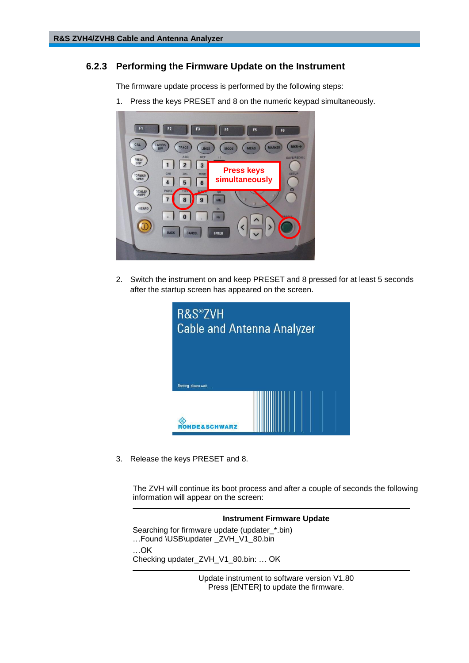#### **6.2.3 Performing the Firmware Update on the Instrument**

<span id="page-11-0"></span>The firmware update process is performed by the following steps:

1. Press the keys PRESET and 8 on the numeric keypad simultaneously.



2. Switch the instrument on and keep PRESET and 8 pressed for at least 5 seconds after the startup screen has appeared on the screen.



3. Release the keys PRESET and 8.

The ZVH will continue its boot process and after a couple of seconds the following information will appear on the screen:

\_\_\_\_\_\_\_\_\_\_\_\_\_\_\_\_\_\_\_\_\_\_\_\_\_\_\_\_\_\_\_\_\_\_\_\_\_\_\_\_\_\_\_\_\_\_\_\_\_\_\_\_\_\_\_\_\_\_\_\_\_\_\_\_\_\_\_\_\_\_\_\_\_\_\_\_\_\_\_



Update instrument to software version V1.80 Press [ENTER] to update the firmware.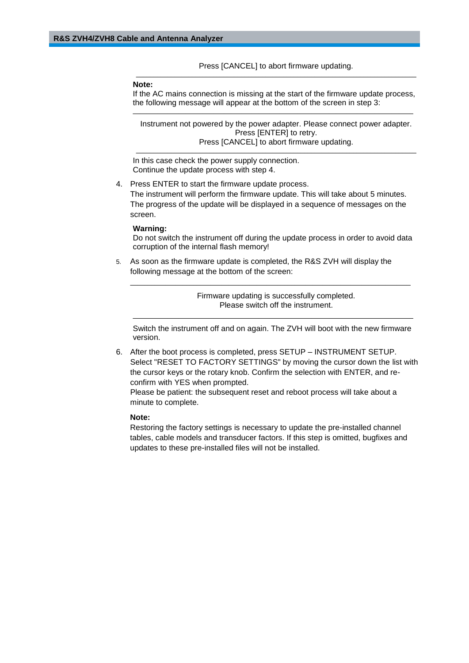Press [CANCEL] to abort firmware updating. \_\_\_\_\_\_\_\_\_\_\_\_\_\_\_\_\_\_\_\_\_\_\_\_\_\_\_\_\_\_\_\_\_\_\_\_\_\_\_\_\_\_\_\_\_\_\_\_\_\_\_\_\_\_\_\_\_\_\_\_\_\_\_\_\_\_\_\_\_\_\_\_\_\_\_\_\_\_\_\_

#### **Note:**

If the AC mains connection is missing at the start of the firmware update process, the following message will appear at the bottom of the screen in step 3: \_\_\_\_\_\_\_\_\_\_\_\_\_\_\_\_\_\_\_\_\_\_\_\_\_\_\_\_\_\_\_\_\_\_\_\_\_\_\_\_\_\_\_\_\_\_\_\_\_\_\_\_\_\_\_\_\_\_\_\_\_\_\_\_\_\_\_\_\_\_\_\_\_\_\_\_\_\_\_\_

Instrument not powered by the power adapter. Please connect power adapter. Press [ENTER] to retry. Press [CANCEL] to abort firmware updating.

\_\_\_\_\_\_\_\_\_\_\_\_\_\_\_\_\_\_\_\_\_\_\_\_\_\_\_\_\_\_\_\_\_\_\_\_\_\_\_\_\_\_\_\_\_\_\_\_\_\_\_\_\_\_\_\_\_\_\_\_\_\_\_\_\_\_\_\_\_\_\_\_\_\_\_\_\_\_\_\_

In this case check the power supply connection. Continue the update process with step 4.

4. Press ENTER to start the firmware update process.

The instrument will perform the firmware update. This will take about 5 minutes. The progress of the update will be displayed in a sequence of messages on the screen.

#### **Warning:**

Do not switch the instrument off during the update process in order to avoid data corruption of the internal flash memory!

5. As soon as the firmware update is completed, the R&S ZVH will display the following message at the bottom of the screen:

> Firmware updating is successfully completed. Please switch off the instrument.

\_\_\_\_\_\_\_\_\_\_\_\_\_\_\_\_\_\_\_\_\_\_\_\_\_\_\_\_\_\_\_\_\_\_\_\_\_\_\_\_\_\_\_\_\_\_\_\_\_\_\_\_\_\_\_\_\_\_\_\_\_\_\_\_\_\_\_\_\_\_\_\_\_\_\_\_\_\_\_\_

Switch the instrument off and on again. The ZVH will boot with the new firmware version.

\_\_\_\_\_\_\_\_\_\_\_\_\_\_\_\_\_\_\_\_\_\_\_\_\_\_\_\_\_\_\_\_\_\_\_\_\_\_\_\_\_\_\_\_\_\_\_\_\_\_\_\_\_\_\_\_\_\_\_\_\_\_\_\_\_\_\_\_\_\_\_\_\_\_\_\_\_\_\_\_

6. After the boot process is completed, press SETUP – INSTRUMENT SETUP. Select "RESET TO FACTORY SETTINGS" by moving the cursor down the list with the cursor keys or the rotary knob. Confirm the selection with ENTER, and reconfirm with YES when prompted.

Please be patient: the subsequent reset and reboot process will take about a minute to complete.

#### **Note:**

Restoring the factory settings is necessary to update the pre-installed channel tables, cable models and transducer factors. If this step is omitted, bugfixes and updates to these pre-installed files will not be installed.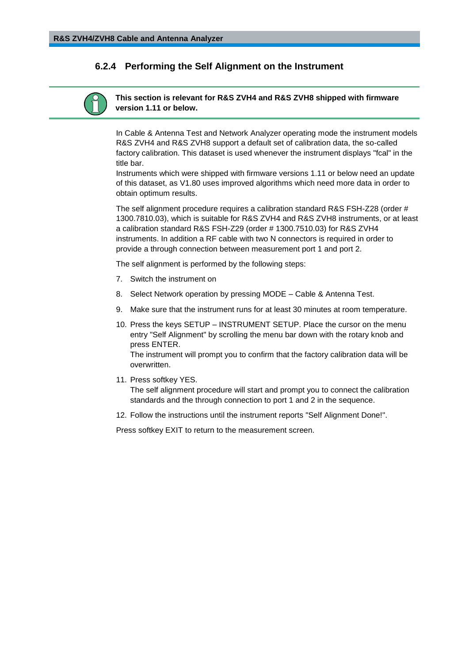#### <span id="page-13-0"></span>**6.2.4 Performing the Self Alignment on the Instrument**

#### **This section is relevant for R&S ZVH4 and R&S ZVH8 shipped with firmware version 1.11 or below.**

In Cable & Antenna Test and Network Analyzer operating mode the instrument models R&S ZVH4 and R&S ZVH8 support a default set of calibration data, the so-called factory calibration. This dataset is used whenever the instrument displays "fcal" in the title bar.

Instruments which were shipped with firmware versions 1.11 or below need an update of this dataset, as V1.80 uses improved algorithms which need more data in order to obtain optimum results.

The self alignment procedure requires a calibration standard R&S FSH-Z28 (order # 1300.7810.03), which is suitable for R&S ZVH4 and R&S ZVH8 instruments, or at least a calibration standard R&S FSH-Z29 (order # 1300.7510.03) for R&S ZVH4 instruments. In addition a RF cable with two N connectors is required in order to provide a through connection between measurement port 1 and port 2.

The self alignment is performed by the following steps:

- 7. Switch the instrument on
- 8. Select Network operation by pressing MODE Cable & Antenna Test.
- 9. Make sure that the instrument runs for at least 30 minutes at room temperature.
- 10. Press the keys SETUP INSTRUMENT SETUP. Place the cursor on the menu entry "Self Alignment" by scrolling the menu bar down with the rotary knob and press ENTER.

The instrument will prompt you to confirm that the factory calibration data will be overwritten.

11. Press softkey YES.

The self alignment procedure will start and prompt you to connect the calibration standards and the through connection to port 1 and 2 in the sequence.

12. Follow the instructions until the instrument reports "Self Alignment Done!".

Press softkey EXIT to return to the measurement screen.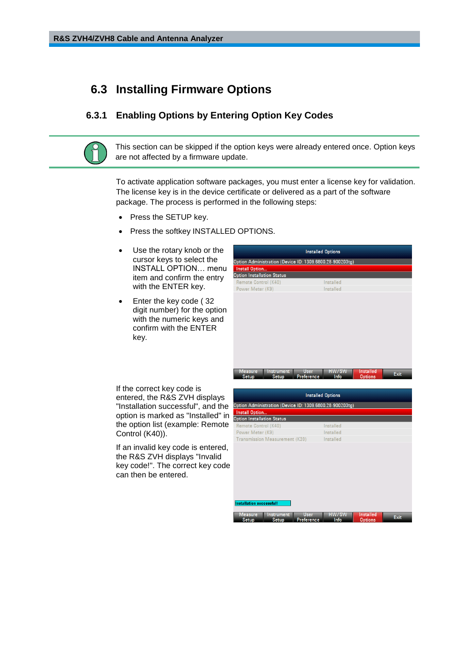### <span id="page-14-0"></span>**6.3 Installing Firmware Options**

#### <span id="page-14-1"></span>**6.3.1 Enabling Options by Entering Option Key Codes**

This section can be skipped if the option keys were already entered once. Option keys are not affected by a firmware update.

To activate application software packages, you must enter a license key for validation. The license key is in the device certificate or delivered as a part of the software package. The process is performed in the following steps:

- Press the SETUP key.
- Press the softkey INSTALLED OPTIONS.
- Use the rotary knob or the cursor keys to select the INSTALL OPTION… menu item and confirm the entry with the ENTER key.
- Enter the key code ( 32 digit number) for the option with the numeric keys and confirm with the ENTER key.

| <b>Installed Options</b>          |                                                          |           |                |      |  |  |
|-----------------------------------|----------------------------------------------------------|-----------|----------------|------|--|--|
|                                   | Option Administration (Device ID: 1309.6800.28-900203tg) |           |                |      |  |  |
| Install Option                    |                                                          |           |                |      |  |  |
| <b>Option Installation Status</b> |                                                          |           |                |      |  |  |
| Remote Control (K40)              |                                                          | Installed |                |      |  |  |
| Power Meter (K9)                  |                                                          | Installed |                |      |  |  |
|                                   |                                                          |           |                |      |  |  |
|                                   |                                                          |           |                |      |  |  |
|                                   |                                                          |           |                |      |  |  |
|                                   |                                                          |           |                |      |  |  |
|                                   |                                                          |           |                |      |  |  |
|                                   |                                                          |           |                |      |  |  |
| Measure<br><b>Instrument</b>      | <b>User</b>                                              | HW/SW     | Installed      |      |  |  |
| Setup<br>Setup                    | Preference                                               | Info      | <b>Options</b> | Exit |  |  |

If the correct key code is entered, the R&S ZVH displays "Installation successful", and the option is marked as "Installed" in the option list (example: Remote Control (K40)).

If an invalid key code is entered, the R&S ZVH displays "Invalid key code!". The correct key code can then be entered.

| <b>Installed Options</b>                                 |                                  |               |                             |             |  |  |  |
|----------------------------------------------------------|----------------------------------|---------------|-----------------------------|-------------|--|--|--|
| Option Administration (Device ID: 1309.6800.28-900203tg) |                                  |               |                             |             |  |  |  |
| <b>Install Option</b>                                    |                                  |               |                             |             |  |  |  |
| <b>Option Installation Status</b>                        |                                  |               |                             |             |  |  |  |
| Remote Control (K40)                                     |                                  | Installed     |                             |             |  |  |  |
| Power Meter (K9)                                         |                                  | Installed     |                             |             |  |  |  |
| Transmission Measurement (K39)                           |                                  | Installed     |                             |             |  |  |  |
|                                                          |                                  |               |                             |             |  |  |  |
|                                                          |                                  |               |                             |             |  |  |  |
|                                                          |                                  |               |                             |             |  |  |  |
|                                                          |                                  |               |                             |             |  |  |  |
|                                                          |                                  |               |                             |             |  |  |  |
|                                                          |                                  |               |                             |             |  |  |  |
|                                                          |                                  |               |                             |             |  |  |  |
|                                                          |                                  |               |                             |             |  |  |  |
| Installation successful!                                 |                                  |               |                             |             |  |  |  |
| Measure<br><b>Instrument</b><br>Setup<br>Setup           | <b>User</b><br><b>Preference</b> | HW/SW<br>Info | Installed<br><b>Options</b> | <b>Exit</b> |  |  |  |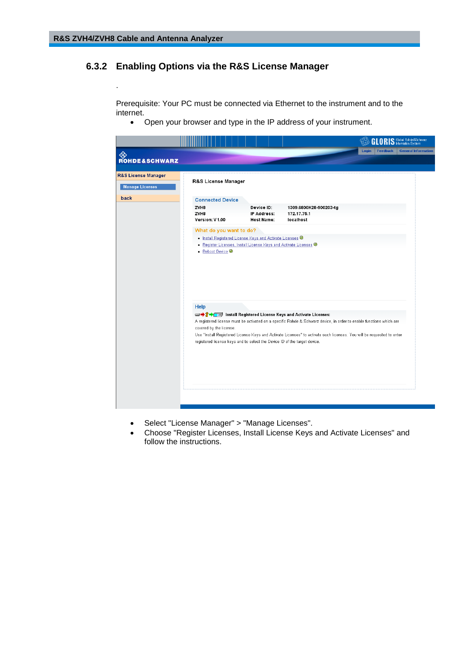<span id="page-15-0"></span>.

### **6.3.2 Enabling Options via the R&S License Manager**

Prerequisite: Your PC must be connected via Ethernet to the instrument and to the internet.

Open your browser and type in the IP address of your instrument.

|                                               |                                                                                                              |                                                                                                                                | GL.                                                                                                                                                                                                                                                                                                                | RIS Global Rohde & Schwarz             |
|-----------------------------------------------|--------------------------------------------------------------------------------------------------------------|--------------------------------------------------------------------------------------------------------------------------------|--------------------------------------------------------------------------------------------------------------------------------------------------------------------------------------------------------------------------------------------------------------------------------------------------------------------|----------------------------------------|
| ◈<br><b>ROHDE&amp;SCHWARZ</b>                 |                                                                                                              |                                                                                                                                | <b>Login</b>                                                                                                                                                                                                                                                                                                       | <b>General Information</b><br>Feedback |
| R&S License Manager<br><b>Manage Licenses</b> | R&S License Manager                                                                                          |                                                                                                                                |                                                                                                                                                                                                                                                                                                                    |                                        |
| back                                          | <b>Connected Device</b><br>ZVH8<br>ZVH8<br>Version: V1.00                                                    | Device ID:<br>IP Address:<br><b>Host Name:</b>                                                                                 | 1309.6800K28-900203-tg<br>172.17.75.1<br>localhost                                                                                                                                                                                                                                                                 |                                        |
|                                               | • Reboot Device <sup>@</sup>                                                                                 | . Install Registered License Keys and Activate Licenses @<br>· Register Licenses, Install License Keys and Activate Licenses @ |                                                                                                                                                                                                                                                                                                                    |                                        |
|                                               | Help<br>covered by the license.<br>registered license keys and to select the Device ID of the target device. |                                                                                                                                | <b>EDIT</b> Install Registered License Keys and Activate Licenses:<br>A registered license must be activated on a specific Rohde & Schwarz device, in order to enable functions which are<br>Use "Install Registered License Keys and Activate Licenses" to activate such licenses. You will be requested to enter |                                        |
|                                               |                                                                                                              |                                                                                                                                |                                                                                                                                                                                                                                                                                                                    |                                        |

- Select "License Manager" > "Manage Licenses".
- Choose "Register Licenses, Install License Keys and Activate Licenses" and follow the instructions.